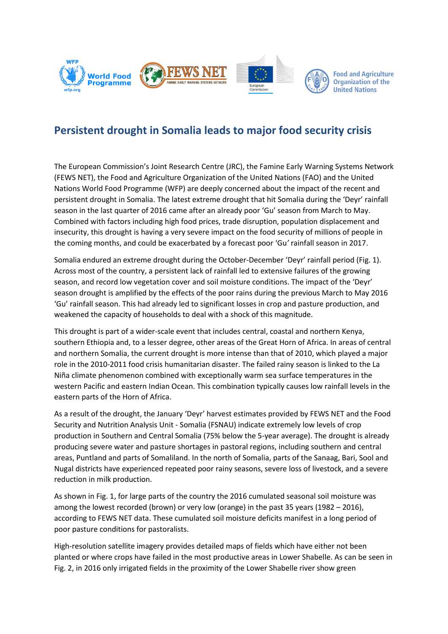

## **Persistent drought in Somalia leads to major food security crisis**

The European Commission's Joint Research Centre (JRC), the Famine Early Warning Systems Network (FEWS NET), the Food and Agriculture Organization of the United Nations (FAO) and the United Nations World Food Programme (WFP) are deeply concerned about the impact of the recent and persistent drought in Somalia. The latest extreme drought that hit Somalia during the 'Deyr' rainfall season in the last quarter of 2016 came after an already poor 'Gu' season from March to May. Combined with factors including high food prices, trade disruption, population displacement and insecurity, this drought is having a very severe impact on the food security of millions of people in the coming months, and could be exacerbated by a forecast poor 'Gu*'* rainfall season in 2017.

Somalia endured an extreme drought during the October-December 'Deyr' rainfall period (Fig. 1). Across most of the country, a persistent lack of rainfall led to extensive failures of the growing season, and record low vegetation cover and soil moisture conditions. The impact of the 'Deyr' season drought is amplified by the effects of the poor rains during the previous March to May 2016 'Gu' rainfall season. This had already led to significant losses in crop and pasture production, and weakened the capacity of households to deal with a shock of this magnitude.

This drought is part of a wider-scale event that includes central, coastal and northern Kenya, southern Ethiopia and, to a lesser degree, other areas of the Great Horn of Africa. In areas of central and northern Somalia, the current drought is more intense than that of 2010, which played a major role in the 2010-2011 food crisis humanitarian disaster. The failed rainy season is linked to the La Niña climate phenomenon combined with exceptionally warm sea surface temperatures in the western Pacific and eastern Indian Ocean. This combination typically causes low rainfall levels in the eastern parts of the Horn of Africa.

As a result of the drought, the January 'Deyr' harvest estimates provided by FEWS NET and the Food Security and Nutrition Analysis Unit - Somalia (FSNAU) indicate extremely low levels of crop production in Southern and Central Somalia (75% below the 5-year average). The drought is already producing severe water and pasture shortages in pastoral regions, including southern and central areas, Puntland and parts of Somaliland. In the north of Somalia, parts of the Sanaag, Bari, Sool and Nugal districts have experienced repeated poor rainy seasons, severe loss of livestock, and a severe reduction in milk production.

As shown in Fig. 1, for large parts of the country the 2016 cumulated seasonal soil moisture was among the lowest recorded (brown) or very low (orange) in the past 35 years (1982 – 2016), according to FEWS NET data. These cumulated soil moisture deficits manifest in a long period of poor pasture conditions for pastoralists.

High-resolution satellite imagery provides detailed maps of fields which have either not been planted or where crops have failed in the most productive areas in Lower Shabelle. As can be seen in Fig. 2, in 2016 only irrigated fields in the proximity of the Lower Shabelle river show green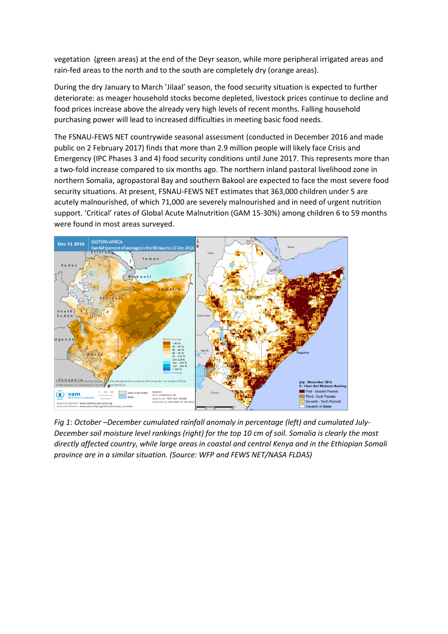vegetation (green areas) at the end of the Deyr season, while more peripheral irrigated areas and rain-fed areas to the north and to the south are completely dry (orange areas).

During the dry January to March 'Jilaal' season, the food security situation is expected to further deteriorate: as meager household stocks become depleted, livestock prices continue to decline and food prices increase above the already very high levels of recent months. Falling household purchasing power will lead to increased difficulties in meeting basic food needs.

The FSNAU-FEWS NET countrywide seasonal assessment (conducted in December 2016 and made public on 2 February 2017) finds that more than 2.9 million people will likely face Crisis and Emergency (IPC Phases 3 and 4) food security conditions until June 2017. This represents more than a two-fold increase compared to six months ago. The northern inland pastoral livelihood zone in northern Somalia, agropastoral Bay and southern Bakool are expected to face the most severe food security situations. At present, FSNAU-FEWS NET estimates that 363,000 children under 5 are acutely malnourished, of which 71,000 are severely malnourished and in need of urgent nutrition support. 'Critical' rates of Global Acute Malnutrition (GAM 15-30%) among children 6 to 59 months were found in most areas surveyed.



*Fig 1: October –December cumulated rainfall anomaly in percentage (left) and cumulated July-December soil moisture level rankings (right) for the top 10 cm of soil. Somalia is clearly the most directly affected country, while large areas in coastal and central Kenya and in the Ethiopian Somali province are in a similar situation. (Source: WFP and FEWS NET/NASA FLDAS)*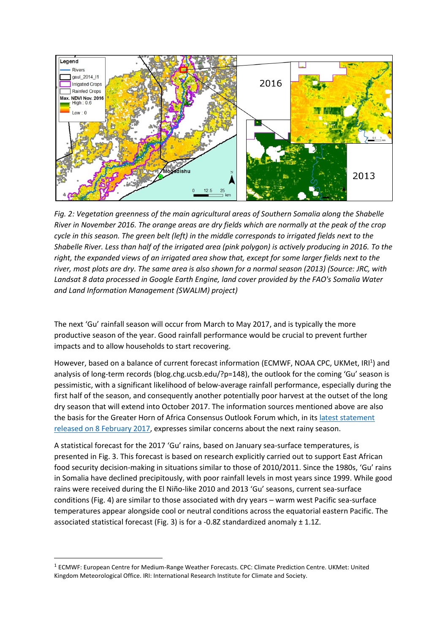

*Fig. 2: Vegetation greenness of the main agricultural areas of Southern Somalia along the Shabelle River in November 2016. The orange areas are dry fields which are normally at the peak of the crop cycle in this season. The green belt (left) in the middle corresponds to irrigated fields next to the Shabelle River. Less than half of the irrigated area (pink polygon) is actively producing in 2016. To the right, the expanded views of an irrigated area show that, except for some larger fields next to the river, most plots are dry. The same area is also shown for a normal season (2013) (Source: JRC, with Landsat 8 data processed in Google Earth Engine, land cover provided by the FAO's Somalia Water and Land Information Management (SWALIM) project)*

The next 'Gu' rainfall season will occur from March to May 2017, and is typically the more productive season of the year. Good rainfall performance would be crucial to prevent further impacts and to allow households to start recovering.

However, based on a balance of current forecast information (ECMWF, NOAA CPC, UKMet, IRI<sup>1</sup>) and analysis of long-term records (blog.chg.ucsb.edu/?p=148), the outlook for the coming 'Gu' season is pessimistic, with a significant likelihood of below-average rainfall performance, especially during the first half of the season, and consequently another potentially poor harvest at the outset of the long dry season that will extend into October 2017. The information sources mentioned above are also the basis for the Greater Horn of Africa Consensus Outlook Forum which, in it[s latest statement](http://www.icpac.net/wp-content/uploads/GHACOF45_Statement.pdf)  released on 8 [February 2017,](http://www.icpac.net/wp-content/uploads/GHACOF45_Statement.pdf) expresses similar concerns about the next rainy season.

A statistical forecast for the 2017 'Gu' rains, based on January sea-surface temperatures, is presented in Fig. 3. This forecast is based on research explicitly carried out to support East African food security decision-making in situations similar to those of 2010/2011. Since the 1980s, 'Gu' rains in Somalia have declined precipitously, with poor rainfall levels in most years since 1999. While good rains were received during the El Niño-like 2010 and 2013 'Gu' seasons, current sea-surface conditions (Fig. 4) are similar to those associated with dry years – warm west Pacific sea-surface temperatures appear alongside cool or neutral conditions across the equatorial eastern Pacific. The associated statistical forecast (Fig. 3) is for a -0.8Z standardized anomaly  $\pm$  1.1Z.

**.** 

<sup>1</sup> ECMWF: European Centre for Medium-Range Weather Forecasts. CPC: Climate Prediction Centre. UKMet: United Kingdom Meteorological Office. IRI: International Research Institute for Climate and Society.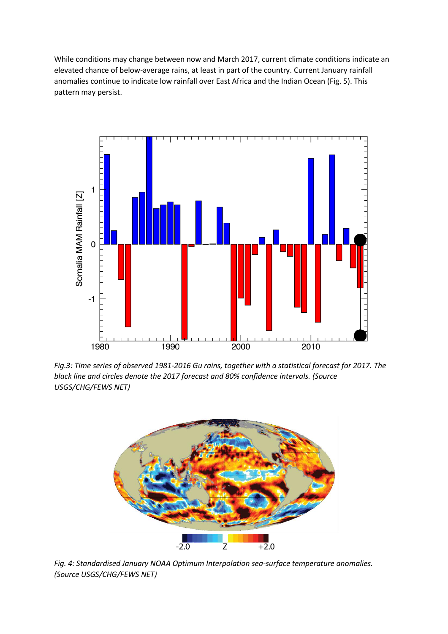While conditions may change between now and March 2017, current climate conditions indicate an elevated chance of below-average rains, at least in part of the country. Current January rainfall anomalies continue to indicate low rainfall over East Africa and the Indian Ocean (Fig. 5). This pattern may persist.



*Fig.3: Time series of observed 1981-2016 Gu rains, together with a statistical forecast for 2017. The black line and circles denote the 2017 forecast and 80% confidence intervals. (Source USGS/CHG/FEWS NET)*



*Fig. 4: Standardised January NOAA Optimum Interpolation sea-surface temperature anomalies. (Source USGS/CHG/FEWS NET)*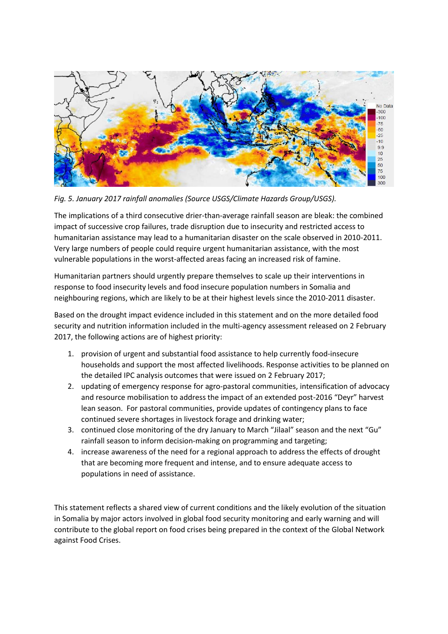

*Fig. 5. January 2017 rainfall anomalies (Source USGS/Climate Hazards Group/USGS).*

The implications of a third consecutive drier-than-average rainfall season are bleak: the combined impact of successive crop failures, trade disruption due to insecurity and restricted access to humanitarian assistance may lead to a humanitarian disaster on the scale observed in 2010-2011. Very large numbers of people could require urgent humanitarian assistance, with the most vulnerable populations in the worst-affected areas facing an increased risk of famine.

Humanitarian partners should urgently prepare themselves to scale up their interventions in response to food insecurity levels and food insecure population numbers in Somalia and neighbouring regions, which are likely to be at their highest levels since the 2010-2011 disaster.

Based on the drought impact evidence included in this statement and on the more detailed food security and nutrition information included in the multi-agency assessment released on 2 February 2017, the following actions are of highest priority:

- 1. provision of urgent and substantial food assistance to help currently food-insecure households and support the most affected livelihoods. Response activities to be planned on the detailed IPC analysis outcomes that were issued on 2 February 2017;
- 2. updating of emergency response for agro-pastoral communities, intensification of advocacy and resource mobilisation to address the impact of an extended post-2016 "Deyr" harvest lean season. For pastoral communities, provide updates of contingency plans to face continued severe shortages in livestock forage and drinking water;
- 3. continued close monitoring of the dry January to March "Jilaal" season and the next "Gu" rainfall season to inform decision-making on programming and targeting;
- 4. increase awareness of the need for a regional approach to address the effects of drought that are becoming more frequent and intense, and to ensure adequate access to populations in need of assistance.

This statement reflects a shared view of current conditions and the likely evolution of the situation in Somalia by major actors involved in global food security monitoring and early warning and will contribute to the global report on food crises being prepared in the context of the Global Network against Food Crises.